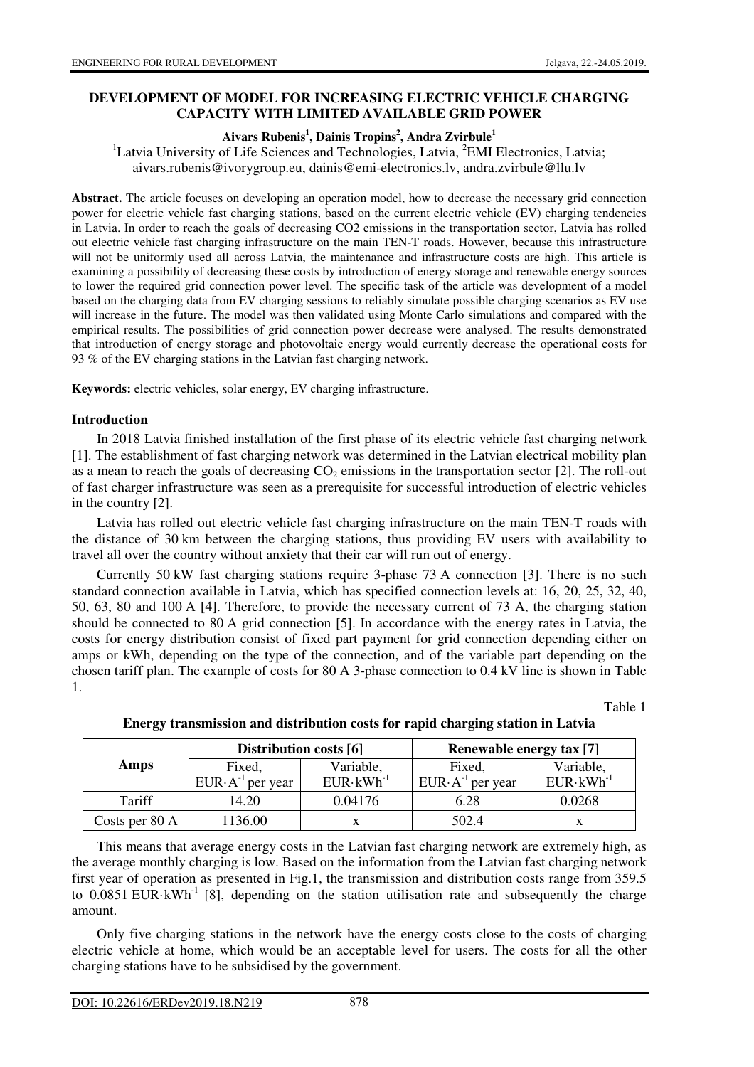# **DEVELOPMENT OF MODEL FOR INCREASING ELECTRIC VEHICLE CHARGING CAPACITY WITH LIMITED AVAILABLE GRID POWER**

### **Aivars Rubenis<sup>1</sup> , Dainis Tropins<sup>2</sup> , Andra Zvirbule<sup>1</sup>**

<sup>1</sup>Latvia University of Life Sciences and Technologies, Latvia,  ${}^{2}EMI$  Electronics, Latvia; aivars.rubenis@ivorygroup.eu, dainis@emi-electronics.lv, andra.zvirbule@llu.lv

**Abstract.** The article focuses on developing an operation model, how to decrease the necessary grid connection power for electric vehicle fast charging stations, based on the current electric vehicle (EV) charging tendencies in Latvia. In order to reach the goals of decreasing CO2 emissions in the transportation sector, Latvia has rolled out electric vehicle fast charging infrastructure on the main TEN-T roads. However, because this infrastructure will not be uniformly used all across Latvia, the maintenance and infrastructure costs are high. This article is examining a possibility of decreasing these costs by introduction of energy storage and renewable energy sources to lower the required grid connection power level. The specific task of the article was development of a model based on the charging data from EV charging sessions to reliably simulate possible charging scenarios as EV use will increase in the future. The model was then validated using Monte Carlo simulations and compared with the empirical results. The possibilities of grid connection power decrease were analysed. The results demonstrated that introduction of energy storage and photovoltaic energy would currently decrease the operational costs for 93 % of the EV charging stations in the Latvian fast charging network.

**Keywords:** electric vehicles, solar energy, EV charging infrastructure.

## **Introduction**

In 2018 Latvia finished installation of the first phase of its electric vehicle fast charging network [1]. The establishment of fast charging network was determined in the Latvian electrical mobility plan as a mean to reach the goals of decreasing  $CO<sub>2</sub>$  emissions in the transportation sector [2]. The roll-out of fast charger infrastructure was seen as a prerequisite for successful introduction of electric vehicles in the country [2].

Latvia has rolled out electric vehicle fast charging infrastructure on the main TEN-T roads with the distance of 30 km between the charging stations, thus providing EV users with availability to travel all over the country without anxiety that their car will run out of energy.

Currently 50 kW fast charging stations require 3-phase 73 A connection [3]. There is no such standard connection available in Latvia, which has specified connection levels at: 16, 20, 25, 32, 40, 50, 63, 80 and 100 A [4]. Therefore, to provide the necessary current of 73 A, the charging station should be connected to 80 A grid connection [5]. In accordance with the energy rates in Latvia, the costs for energy distribution consist of fixed part payment for grid connection depending either on amps or kWh, depending on the type of the connection, and of the variable part depending on the chosen tariff plan. The example of costs for 80 A 3-phase connection to 0.4 kV line is shown in Table 1.

Table 1

|                |                             | Distribution costs [6] | <b>Renewable energy tax [7]</b> |                      |  |  |
|----------------|-----------------------------|------------------------|---------------------------------|----------------------|--|--|
| Amps           | Fixed,                      | Variable,              | Fixed,                          | Variable,            |  |  |
|                | $EUR \cdot A^{-1}$ per year | $EUR \cdot kWh^{-1}$   | $EUR \cdot A^{-1}$ per year     | $EUR \cdot kWh^{-1}$ |  |  |
| Tariff         | 0.04176<br>14.20            |                        | 6.28                            | 0.0268               |  |  |
| Costs per 80 A | 1136.00                     |                        | 502.4                           |                      |  |  |

**Energy transmission and distribution costs for rapid charging station in Latvia** 

This means that average energy costs in the Latvian fast charging network are extremely high, as the average monthly charging is low. Based on the information from the Latvian fast charging network first year of operation as presented in Fig.1, the transmission and distribution costs range from 359.5 to  $0.0851$  EUR·kWh<sup>-1</sup> [8], depending on the station utilisation rate and subsequently the charge amount.

Only five charging stations in the network have the energy costs close to the costs of charging electric vehicle at home, which would be an acceptable level for users. The costs for all the other charging stations have to be subsidised by the government.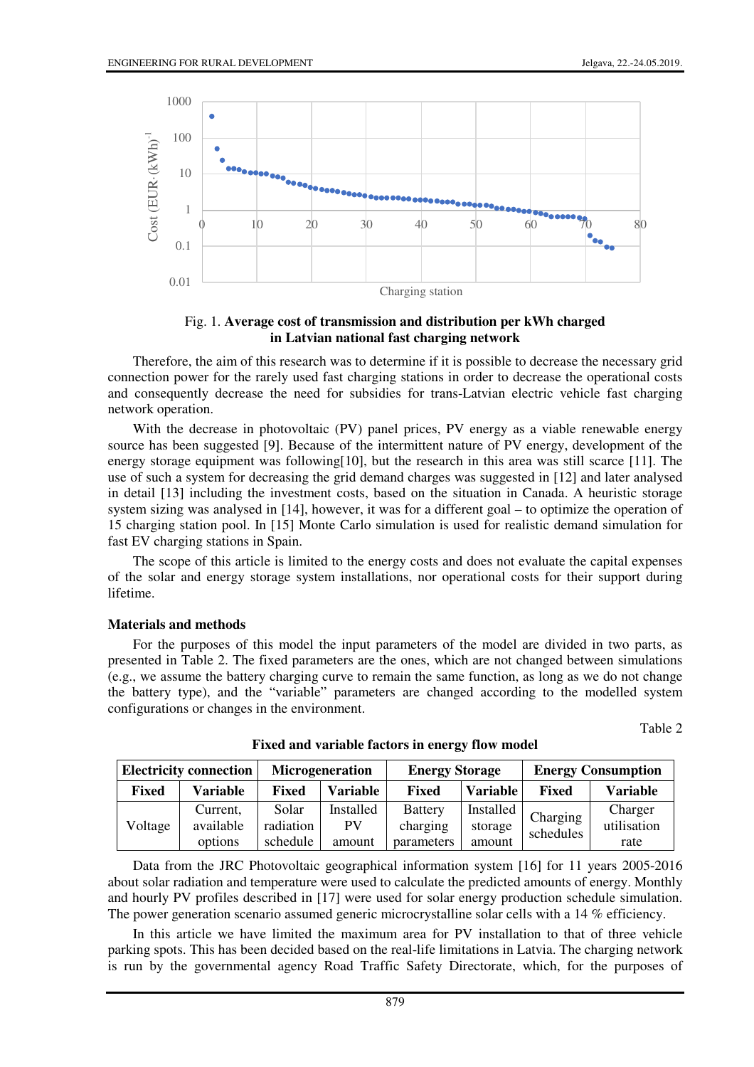

Fig. 1. **Average cost of transmission and distribution per kWh charged in Latvian national fast charging network**

Therefore, the aim of this research was to determine if it is possible to decrease the necessary grid connection power for the rarely used fast charging stations in order to decrease the operational costs and consequently decrease the need for subsidies for trans-Latvian electric vehicle fast charging network operation.

With the decrease in photovoltaic (PV) panel prices, PV energy as a viable renewable energy source has been suggested [9]. Because of the intermittent nature of PV energy, development of the energy storage equipment was following[10], but the research in this area was still scarce [11]. The use of such a system for decreasing the grid demand charges was suggested in [12] and later analysed in detail [13] including the investment costs, based on the situation in Canada. A heuristic storage system sizing was analysed in [14], however, it was for a different goal – to optimize the operation of 15 charging station pool. In [15] Monte Carlo simulation is used for realistic demand simulation for fast EV charging stations in Spain.

The scope of this article is limited to the energy costs and does not evaluate the capital expenses of the solar and energy storage system installations, nor operational costs for their support during lifetime.

#### **Materials and methods**

For the purposes of this model the input parameters of the model are divided in two parts, as presented in Table 2. The fixed parameters are the ones, which are not changed between simulations (e.g., we assume the battery charging curve to remain the same function, as long as we do not change the battery type), and the "variable" parameters are changed according to the modelled system configurations or changes in the environment.

Table 2

| <b>Electricity connection</b> |           |              | <b>Microgeneration</b> | <b>Energy Storage</b> |                 | <b>Energy Consumption</b> |             |  |
|-------------------------------|-----------|--------------|------------------------|-----------------------|-----------------|---------------------------|-------------|--|
| <b>Fixed</b>                  | Variable  | <b>Fixed</b> | <b>Variable</b>        | <b>Fixed</b>          | <b>Variable</b> | <b>Fixed</b>              | Variable    |  |
| Voltage                       | Current,  | Solar        | Installed              | <b>Battery</b>        | Installed       | Charging                  | Charger     |  |
|                               | available | radiation    | PV                     | charging              | storage         | schedules                 | utilisation |  |
|                               | options   | schedule     | amount                 | parameters            | amount          |                           | rate        |  |

**Fixed and variable factors in energy flow model** 

Data from the JRC Photovoltaic geographical information system [16] for 11 years 2005-2016 about solar radiation and temperature were used to calculate the predicted amounts of energy. Monthly and hourly PV profiles described in [17] were used for solar energy production schedule simulation. The power generation scenario assumed generic microcrystalline solar cells with a 14 % efficiency.

In this article we have limited the maximum area for PV installation to that of three vehicle parking spots. This has been decided based on the real-life limitations in Latvia. The charging network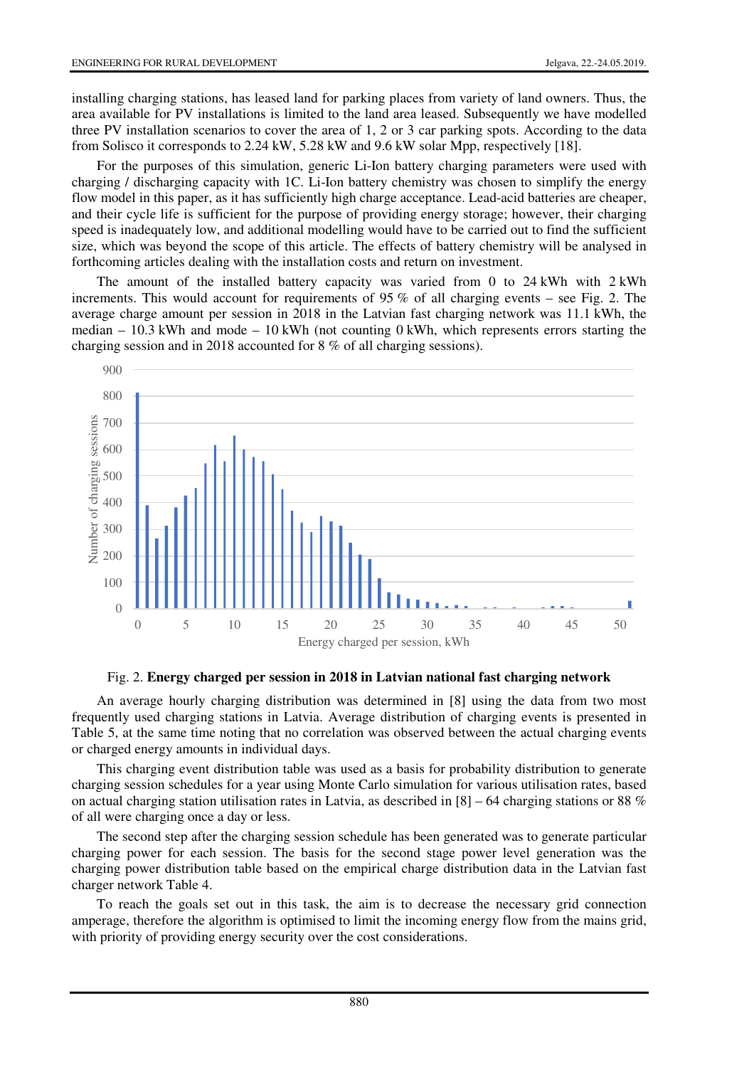installing charging stations, has leased land for parking places from variety of land owners. Thus, the area available for PV installations is limited to the land area leased. Subsequently we have modelled three PV installation scenarios to cover the area of 1, 2 or 3 car parking spots. According to the data from Solisco it corresponds to 2.24 kW, 5.28 kW and 9.6 kW solar Mpp, respectively [18].

For the purposes of this simulation, generic Li-Ion battery charging parameters were used with charging / discharging capacity with 1C. Li-Ion battery chemistry was chosen to simplify the energy flow model in this paper, as it has sufficiently high charge acceptance. Lead-acid batteries are cheaper, and their cycle life is sufficient for the purpose of providing energy storage; however, their charging speed is inadequately low, and additional modelling would have to be carried out to find the sufficient size, which was beyond the scope of this article. The effects of battery chemistry will be analysed in forthcoming articles dealing with the installation costs and return on investment.

The amount of the installed battery capacity was varied from 0 to 24 kWh with 2 kWh increments. This would account for requirements of 95 % of all charging events – see Fig. 2. The average charge amount per session in 2018 in the Latvian fast charging network was 11.1 kWh, the median  $-10.3$  kWh and mode  $-10$  kWh (not counting 0 kWh, which represents errors starting the charging session and in 2018 accounted for 8 % of all charging sessions).



Fig. 2. **Energy charged per session in 2018 in Latvian national fast charging network**

An average hourly charging distribution was determined in [8] using the data from two most frequently used charging stations in Latvia. Average distribution of charging events is presented in Table 5, at the same time noting that no correlation was observed between the actual charging events or charged energy amounts in individual days.

This charging event distribution table was used as a basis for probability distribution to generate charging session schedules for a year using Monte Carlo simulation for various utilisation rates, based on actual charging station utilisation rates in Latvia, as described in  $[8]$  – 64 charging stations or 88 % of all were charging once a day or less.

The second step after the charging session schedule has been generated was to generate particular charging power for each session. The basis for the second stage power level generation was the charging power distribution table based on the empirical charge distribution data in the Latvian fast charger network Table 4.

To reach the goals set out in this task, the aim is to decrease the necessary grid connection amperage, therefore the algorithm is optimised to limit the incoming energy flow from the mains grid, with priority of providing energy security over the cost considerations.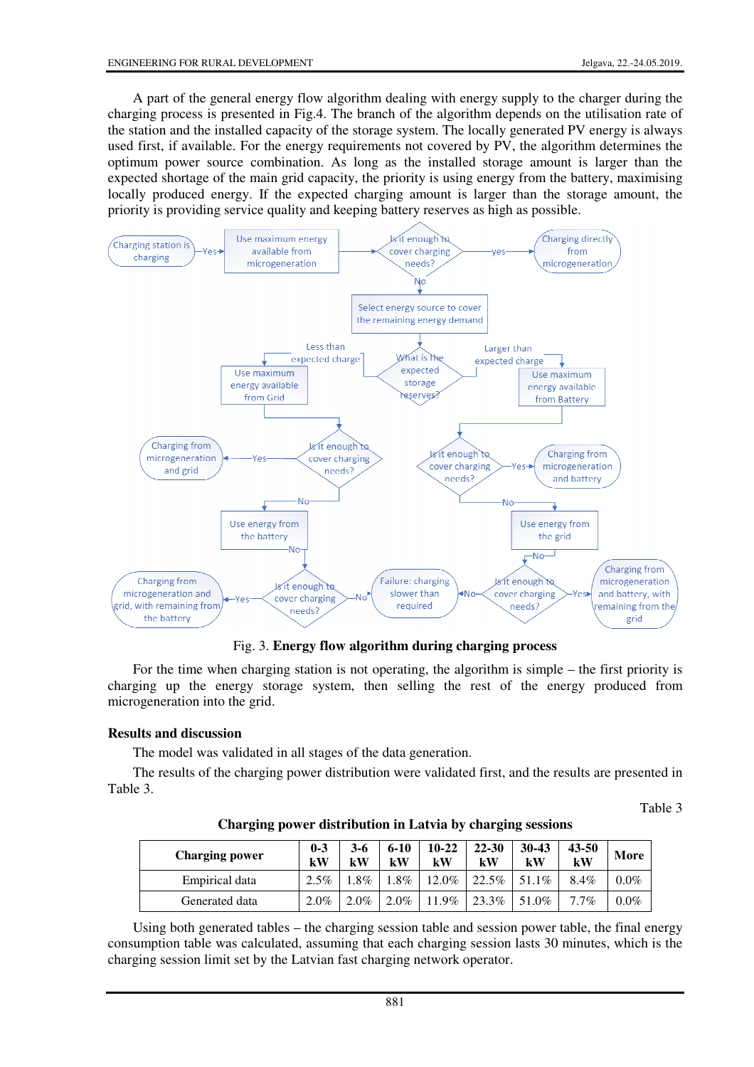A part of the general energy flow algorithm dealing with energy supply to the charger during the charging process is presented in Fig.4. The branch of the algorithm depends on the utilisation rate of the station and the installed capacity of the storage system. The locally generated PV energy is always used first, if available. For the energy requirements not covered by PV, the algorithm determines the optimum power source combination. As long as the installed storage amount is larger than the expected shortage of the main grid capacity, the priority is using energy from the battery, maximising locally produced energy. If the expected charging amount is larger than the storage amount, the priority is providing service quality and keeping battery reserves as high as possible.



Fig. 3. **Energy flow algorithm during charging process**

For the time when charging station is not operating, the algorithm is simple – the first priority is charging up the energy storage system, then selling the rest of the energy produced from microgeneration into the grid.

## **Results and discussion**

The model was validated in all stages of the data generation.

The results of the charging power distribution were validated first, and the results are presented in Table 3.

Table 3

**Charging power distribution in Latvia by charging sessions** 

| <b>Charging power</b> | $0 - 3$<br>kW | 3-6<br>kW | $6 - 10$<br>$\mathbf{k}$ W | $10 - 22$<br>kW | $22 - 30$<br>kW | $30 - 43$<br>kW | $43 - 50$<br>kW | More    |
|-----------------------|---------------|-----------|----------------------------|-----------------|-----------------|-----------------|-----------------|---------|
| Empirical data        | $2.5\%$       | $.8\%$    | $.8\%$                     | 12.0%           | 22.5%           | 51.1%           | 8.4%            | $0.0\%$ |
| Generated data        | $2.0\%$       | $2.0\%$   | 2.0%                       | 11.9%           | 23.3%           | 51.0%           | $7.7\%$         | $0.0\%$ |

Using both generated tables – the charging session table and session power table, the final energy consumption table was calculated, assuming that each charging session lasts 30 minutes, which is the charging session limit set by the Latvian fast charging network operator.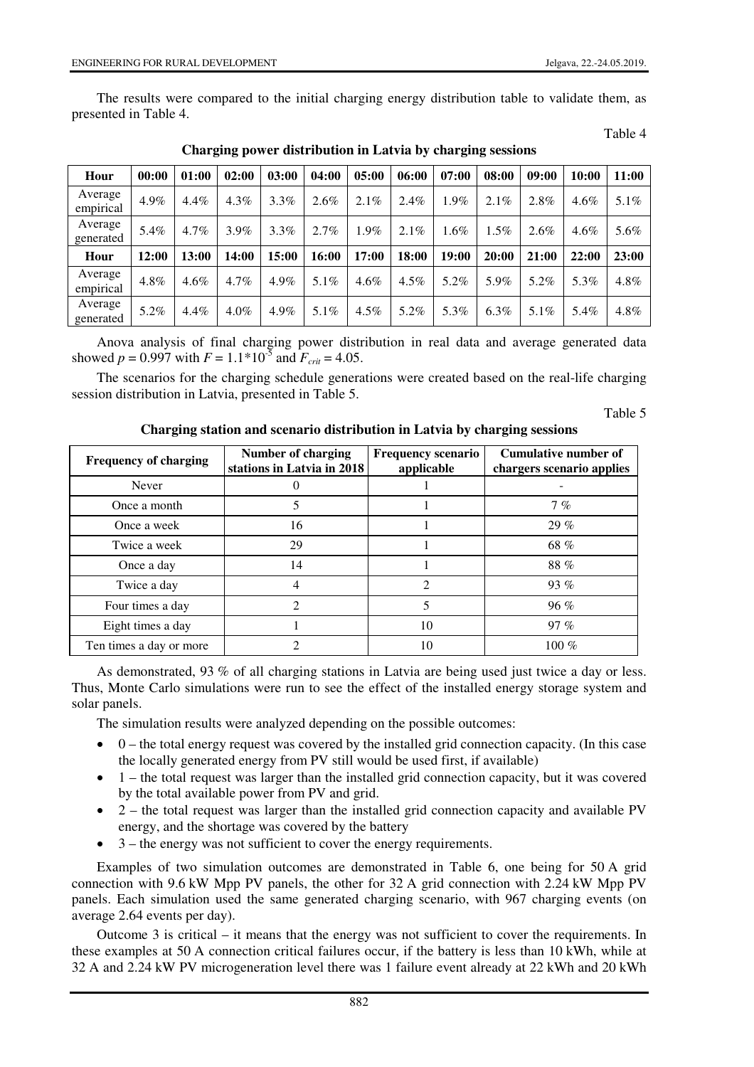Table 4

The results were compared to the initial charging energy distribution table to validate them, as presented in Table 4.

| Hour                 | 00:00 | 01:00   | 02:00   | 03:00 | 04:00   | 05:00   | 06:00   | 07:00   | 08:00   | 09:00   | 10:00   | 11:00 |
|----------------------|-------|---------|---------|-------|---------|---------|---------|---------|---------|---------|---------|-------|
| Average<br>empirical | 4.9%  | $4.4\%$ | $4.3\%$ | 3.3%  | 2.6%    | 2.1%    | 2.4%    | $1.9\%$ | 2.1%    | 2.8%    | $4.6\%$ | 5.1%  |
| Average<br>generated | 5.4%  | $4.7\%$ | 3.9%    | 3.3%  | 2.7%    | 1.9%    | 2.1%    | $1.6\%$ | $1.5\%$ | $2.6\%$ | $4.6\%$ | 5.6%  |
| Hour                 | 12:00 | 13:00   | 14:00   | 15:00 | 16:00   | 17:00   | 18:00   | 19:00   | 20:00   | 21:00   | 22:00   | 23:00 |
| Average<br>empirical | 4.8%  | $4.6\%$ | $4.7\%$ | 4.9%  | 5.1%    | $4.6\%$ | $4.5\%$ | $5.2\%$ | 5.9%    | 5.2%    | 5.3%    | 4.8%  |
| Average<br>generated | 5.2%  | $4.4\%$ | $4.0\%$ | 4.9%  | $5.1\%$ | $4.5\%$ | 5.2%    | 5.3%    | $6.3\%$ | $5.1\%$ | 5.4%    | 4.8%  |

**Charging power distribution in Latvia by charging sessions** 

Anova analysis of final charging power distribution in real data and average generated data showed  $p = 0.997$  with  $F = 1.1*10^{-5}$  and  $F_{crit} = 4.05$ .

The scenarios for the charging schedule generations were created based on the real-life charging session distribution in Latvia, presented in Table 5.

Table 5

| <b>Frequency of charging</b> | Number of charging<br>stations in Latvia in 2018 | <b>Frequency scenario</b><br>applicable | Cumulative number of<br>chargers scenario applies |
|------------------------------|--------------------------------------------------|-----------------------------------------|---------------------------------------------------|
| Never                        |                                                  |                                         |                                                   |
| Once a month                 |                                                  |                                         | 7%                                                |
| Once a week                  | 16                                               |                                         | 29%                                               |
| Twice a week                 | 29                                               |                                         | 68 %                                              |
| Once a day                   | 14                                               |                                         | 88%                                               |
| Twice a day                  | 4                                                | $\mathcal{D}_{\mathcal{L}}$             | $93\%$                                            |
| Four times a day             | $\mathfrak{D}$                                   | 5                                       | 96%                                               |
| Eight times a day            |                                                  | 10                                      | 97%                                               |
| Ten times a day or more      | っ                                                | 10                                      | $100\%$                                           |

As demonstrated, 93 % of all charging stations in Latvia are being used just twice a day or less. Thus, Monte Carlo simulations were run to see the effect of the installed energy storage system and solar panels.

The simulation results were analyzed depending on the possible outcomes:

- 0 the total energy request was covered by the installed grid connection capacity. (In this case the locally generated energy from PV still would be used first, if available)
- 1 the total request was larger than the installed grid connection capacity, but it was covered by the total available power from PV and grid.
- 2 the total request was larger than the installed grid connection capacity and available PV energy, and the shortage was covered by the battery
- 3 the energy was not sufficient to cover the energy requirements.

Examples of two simulation outcomes are demonstrated in Table 6, one being for 50 A grid connection with 9.6 kW Mpp PV panels, the other for 32 A grid connection with 2.24 kW Mpp PV panels. Each simulation used the same generated charging scenario, with 967 charging events (on average 2.64 events per day).

Outcome 3 is critical – it means that the energy was not sufficient to cover the requirements. In these examples at 50 A connection critical failures occur, if the battery is less than 10 kWh, while at 32 A and 2.24 kW PV microgeneration level there was 1 failure event already at 22 kWh and 20 kWh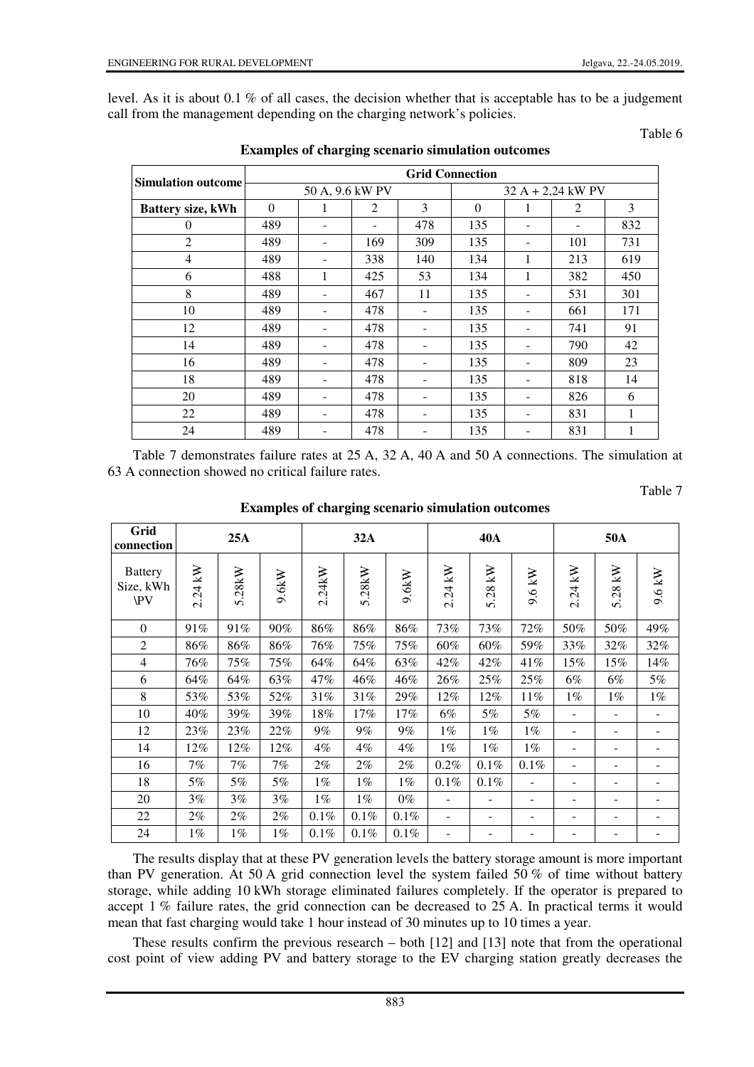level. As it is about 0.1 % of all cases, the decision whether that is acceptable has to be a judgement call from the management depending on the charging network's policies.

## Table 6

Table 7

|                           | <b>Grid Connection</b> |                 |                          |     |                     |   |     |     |  |  |  |
|---------------------------|------------------------|-----------------|--------------------------|-----|---------------------|---|-----|-----|--|--|--|
| <b>Simulation outcome</b> |                        | 50 A, 9.6 kW PV |                          |     | $32 A + 2,24$ kW PV |   |     |     |  |  |  |
| Battery size, kWh         | $\Omega$               | 1               | 2                        | 3   | $\Omega$            | 1 | 2   | 3   |  |  |  |
| $\Omega$                  | 489                    |                 | $\overline{\phantom{a}}$ | 478 | 135                 | - |     | 832 |  |  |  |
| $\overline{2}$            | 489                    |                 | 169                      | 309 | 135                 | - | 101 | 731 |  |  |  |
| 4                         | 489                    |                 | 338                      | 140 | 134                 | 1 | 213 | 619 |  |  |  |
| 6                         | 488                    | 1               | 425                      | 53  | 134                 | 1 | 382 | 450 |  |  |  |
| 8                         | 489                    |                 | 467                      | 11  | 135                 |   | 531 | 301 |  |  |  |
| 10                        | 489                    |                 | 478                      |     | 135                 | ۰ | 661 | 171 |  |  |  |
| 12                        | 489                    |                 | 478                      |     | 135                 | - | 741 | 91  |  |  |  |
| 14                        | 489                    |                 | 478                      |     | 135                 | - | 790 | 42  |  |  |  |
| 16                        | 489                    |                 | 478                      |     | 135                 | ۰ | 809 | 23  |  |  |  |
| 18                        | 489                    |                 | 478                      |     | 135                 |   | 818 | 14  |  |  |  |
| 20                        | 489                    |                 | 478                      |     | 135                 |   | 826 | 6   |  |  |  |
| 22                        | 489                    |                 | 478                      |     | 135                 | ۰ | 831 | 1   |  |  |  |
| 24                        | 489                    |                 | 478                      |     | 135                 | - | 831 |     |  |  |  |

**Examples of charging scenario simulation outcomes** 

Table 7 demonstrates failure rates at 25 A, 32 A, 40 A and 50 A connections. The simulation at 63 A connection showed no critical failure rates.

| Grid<br>connection                 | 25A     |        |          | 32A    |        |       | <b>40A</b>                       |            |        | 50A                        |                            |        |
|------------------------------------|---------|--------|----------|--------|--------|-------|----------------------------------|------------|--------|----------------------------|----------------------------|--------|
| <b>Battery</b><br>Size, kWh<br>\PV | 2.24 kW | 5.28kW | $9.6$ kW | 2.24kW | 5.28kW | 9.6kW | $.24 \text{ kW}$<br>$\mathbf{C}$ | kN<br>5.28 | 9.6 kW | kN<br>$\ddot{5}$<br>$\sim$ | KN<br>28<br>$\overline{v}$ | 9.6 kW |
| $\mathbf{0}$                       | 91%     | 91%    | $90\%$   | 86%    | 86%    | 86%   | 73%                              | 73%        | 72%    | 50%                        | 50%                        | 49%    |
| $\overline{2}$                     | 86%     | 86%    | 86%      | 76%    | 75%    | 75%   | 60%                              | 60%        | 59%    | 33%                        | 32%                        | 32%    |
| $\overline{4}$                     | 76%     | 75%    | 75%      | 64%    | 64%    | 63%   | 42%                              | 42%        | 41%    | 15%                        | 15%                        | 14%    |
| 6                                  | 64%     | 64%    | 63%      | 47%    | 46%    | 46%   | 26%                              | 25%        | 25%    | $6\%$                      | 6%                         | $5\%$  |
| 8                                  | 53%     | 53%    | 52%      | 31%    | 31%    | 29%   | 12%                              | 12%        | 11%    | $1\%$                      | $1\%$                      | $1\%$  |
| 10                                 | 40%     | 39%    | 39%      | 18%    | 17%    | 17%   | $6\%$                            | 5%         | 5%     |                            | $\overline{\phantom{a}}$   |        |
| 12                                 | $23\%$  | 23%    | 22%      | 9%     | 9%     | 9%    | $1\%$                            | $1\%$      | $1\%$  |                            | $\overline{\phantom{0}}$   |        |
| 14                                 | 12%     | 12%    | 12%      | 4%     | 4%     | 4%    | $1\%$                            | $1\%$      | $1\%$  |                            | ۰                          |        |
| 16                                 | $7\%$   | $7\%$  | $7\%$    | 2%     | $2\%$  | 2%    | 0.2%                             | 0.1%       | 0.1%   |                            | -                          |        |
| 18                                 | 5%      | 5%     | 5%       | $1\%$  | $1\%$  | $1\%$ | 0.1%                             | 0.1%       | -      |                            | -                          |        |
| 20                                 | $3\%$   | $3\%$  | $3\%$    | $1\%$  | $1\%$  | $0\%$ | ۰                                |            | ۰      |                            | -                          |        |
| 22                                 | $2\%$   | $2\%$  | $2\%$    | 0.1%   | 0.1%   | 0.1%  | $\overline{\phantom{0}}$         |            | ۰      |                            | -                          |        |
| 24                                 | $1\%$   | $1\%$  | $1\%$    | 0.1%   | 0.1%   | 0.1%  |                                  |            |        |                            |                            |        |

**Examples of charging scenario simulation outcomes** 

The results display that at these PV generation levels the battery storage amount is more important than PV generation. At 50 A grid connection level the system failed 50 % of time without battery storage, while adding 10 kWh storage eliminated failures completely. If the operator is prepared to accept 1 % failure rates, the grid connection can be decreased to 25 A. In practical terms it would mean that fast charging would take 1 hour instead of 30 minutes up to 10 times a year.

These results confirm the previous research – both [12] and [13] note that from the operational cost point of view adding PV and battery storage to the EV charging station greatly decreases the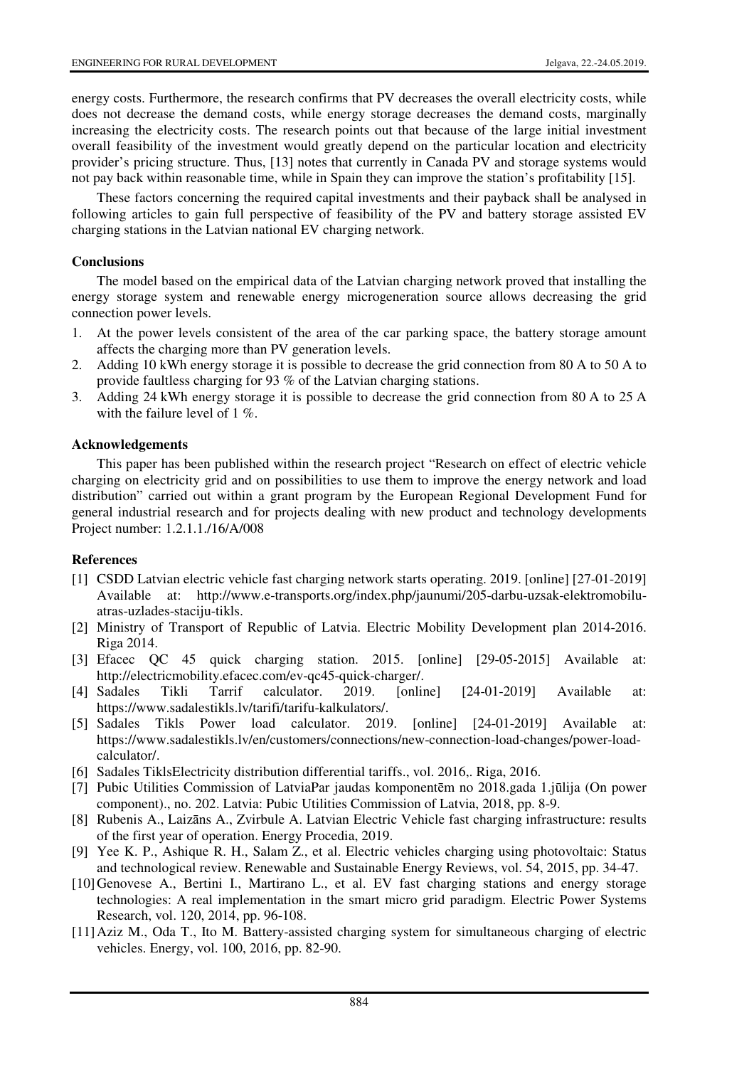energy costs. Furthermore, the research confirms that PV decreases the overall electricity costs, while does not decrease the demand costs, while energy storage decreases the demand costs, marginally increasing the electricity costs. The research points out that because of the large initial investment overall feasibility of the investment would greatly depend on the particular location and electricity provider's pricing structure. Thus, [13] notes that currently in Canada PV and storage systems would not pay back within reasonable time, while in Spain they can improve the station's profitability [15].

These factors concerning the required capital investments and their payback shall be analysed in following articles to gain full perspective of feasibility of the PV and battery storage assisted EV charging stations in the Latvian national EV charging network.

### **Conclusions**

The model based on the empirical data of the Latvian charging network proved that installing the energy storage system and renewable energy microgeneration source allows decreasing the grid connection power levels.

- 1. At the power levels consistent of the area of the car parking space, the battery storage amount affects the charging more than PV generation levels.
- 2. Adding 10 kWh energy storage it is possible to decrease the grid connection from 80 A to 50 A to provide faultless charging for 93 % of the Latvian charging stations.
- 3. Adding 24 kWh energy storage it is possible to decrease the grid connection from 80 A to 25 A with the failure level of 1 %.

#### **Acknowledgements**

This paper has been published within the research project "Research on effect of electric vehicle charging on electricity grid and on possibilities to use them to improve the energy network and load distribution" carried out within a grant program by the European Regional Development Fund for general industrial research and for projects dealing with new product and technology developments Project number: 1.2.1.1./16/A/008

## **References**

- [1] CSDD Latvian electric vehicle fast charging network starts operating. 2019. [online] [27-01-2019] Available at: http://www.e-transports.org/index.php/jaunumi/205-darbu-uzsak-elektromobiluatras-uzlades-staciju-tikls.
- [2] Ministry of Transport of Republic of Latvia. Electric Mobility Development plan 2014-2016. Riga 2014.
- [3] Efacec QC 45 quick charging station. 2015. [online] [29-05-2015] Available at: http://electricmobility.efacec.com/ev-qc45-quick-charger/.
- [4] Sadales Tikli Tarrif calculator. 2019. [online] [24-01-2019] Available at: https://www.sadalestikls.lv/tarifi/tarifu-kalkulators/.
- [5] Sadales Tikls Power load calculator. 2019. [online] [24-01-2019] Available at: https://www.sadalestikls.lv/en/customers/connections/new-connection-load-changes/power-loadcalculator/.
- [6] Sadales TiklsElectricity distribution differential tariffs., vol. 2016,. Riga, 2016.
- [7] Pubic Utilities Commission of LatviaPar jaudas komponentēm no 2018.gada 1.jūlija (On power component)., no. 202. Latvia: Pubic Utilities Commission of Latvia, 2018, pp. 8-9.
- [8] Rubenis A., Laizāns A., Zvirbule A. Latvian Electric Vehicle fast charging infrastructure: results of the first year of operation. Energy Procedia, 2019.
- [9] Yee K. P., Ashique R. H., Salam Z., et al. Electric vehicles charging using photovoltaic: Status and technological review. Renewable and Sustainable Energy Reviews, vol. 54, 2015, pp. 34-47.
- [10] Genovese A., Bertini I., Martirano L., et al. EV fast charging stations and energy storage technologies: A real implementation in the smart micro grid paradigm. Electric Power Systems Research, vol. 120, 2014, pp. 96-108.
- [11] Aziz M., Oda T., Ito M. Battery-assisted charging system for simultaneous charging of electric vehicles. Energy, vol. 100, 2016, pp. 82-90.